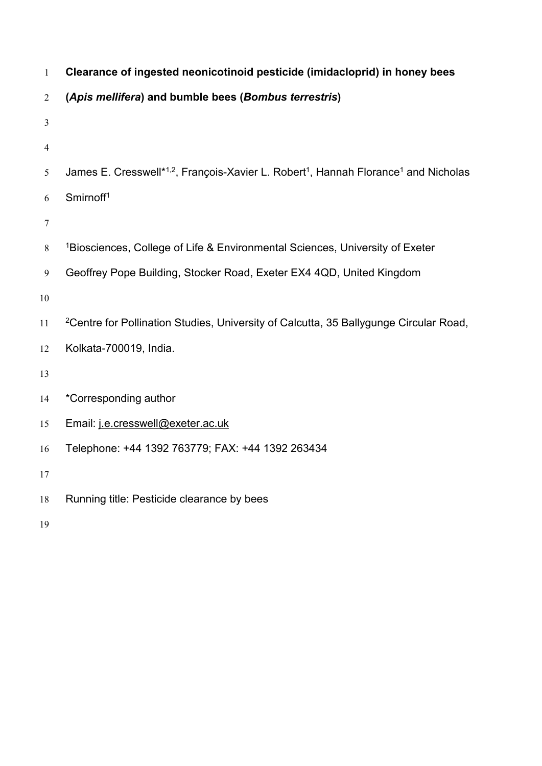| $\mathbf{1}$   | Clearance of ingested neonicotinoid pesticide (imidacloprid) in honey bees                                              |
|----------------|-------------------------------------------------------------------------------------------------------------------------|
| $\overline{2}$ | (Apis mellifera) and bumble bees (Bombus terrestris)                                                                    |
| $\mathfrak{Z}$ |                                                                                                                         |
| $\overline{4}$ |                                                                                                                         |
| 5              | James E. Cresswell* <sup>1,2</sup> , François-Xavier L. Robert <sup>1</sup> , Hannah Florance <sup>1</sup> and Nicholas |
| 6              | Smirnoff <sup>1</sup>                                                                                                   |
| $\tau$         |                                                                                                                         |
| 8              | <sup>1</sup> Biosciences, College of Life & Environmental Sciences, University of Exeter                                |
| 9              | Geoffrey Pope Building, Stocker Road, Exeter EX4 4QD, United Kingdom                                                    |
| $10\,$         |                                                                                                                         |
| $11\,$         | <sup>2</sup> Centre for Pollination Studies, University of Calcutta, 35 Ballygunge Circular Road,                       |
| 12             | Kolkata-700019, India.                                                                                                  |
| 13             |                                                                                                                         |
| 14             | *Corresponding author                                                                                                   |
| 15             | Email: j.e.cresswell@exeter.ac.uk                                                                                       |
| 16             | Telephone: +44 1392 763779; FAX: +44 1392 263434                                                                        |
| 17             |                                                                                                                         |
| $18\,$         | Running title: Pesticide clearance by bees                                                                              |
| 19             |                                                                                                                         |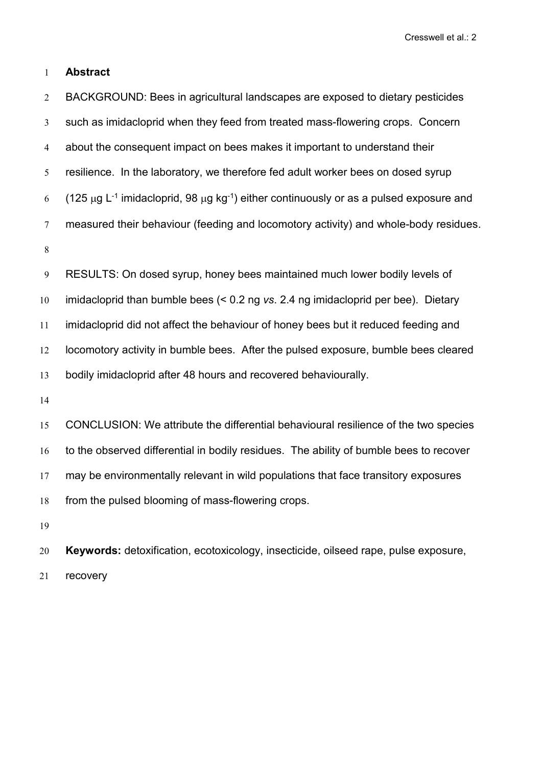# **Abstract**

 BACKGROUND: Bees in agricultural landscapes are exposed to dietary pesticides such as imidacloprid when they feed from treated mass-flowering crops. Concern about the consequent impact on bees makes it important to understand their resilience. In the laboratory, we therefore fed adult worker bees on dosed syrup 6 (125 μg L<sup>-1</sup> imidacloprid, 98 μg kg<sup>-1</sup>) either continuously or as a pulsed exposure and measured their behaviour (feeding and locomotory activity) and whole-body residues. RESULTS: On dosed syrup, honey bees maintained much lower bodily levels of imidacloprid than bumble bees (< 0.2 ng *vs*. 2.4 ng imidacloprid per bee). Dietary imidacloprid did not affect the behaviour of honey bees but it reduced feeding and locomotory activity in bumble bees. After the pulsed exposure, bumble bees cleared bodily imidacloprid after 48 hours and recovered behaviourally. CONCLUSION: We attribute the differential behavioural resilience of the two species 16 to the observed differential in bodily residues. The ability of bumble bees to recover may be environmentally relevant in wild populations that face transitory exposures from the pulsed blooming of mass-flowering crops.

 **Keywords:** detoxification, ecotoxicology, insecticide, oilseed rape, pulse exposure, recovery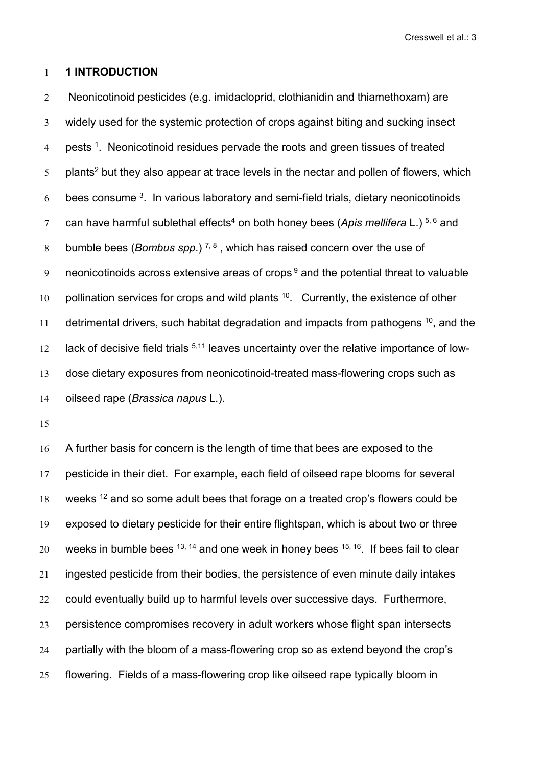# **1 INTRODUCTION**

 Neonicotinoid pesticides (e.g. imidacloprid, clothianidin and thiamethoxam) are widely used for the systemic protection of crops against biting and sucking insect 4 pests <sup>1</sup>. Neonicotinoid residues pervade the roots and green tissues of treated  $\,$   $\,$  plants $\,$  but they also appear at trace levels in the nectar and pollen of flowers, which  $\,$  bees consume  $^{3}$ . In various laboratory and semi-field trials, dietary neonicotinoids can have harmful sublethal effects <sup>4</sup> on both honey bees (*Apis mellifera* L.) 5, <sup>6</sup> and 8 bumble bees (*Bombus spp.*)<sup>7,8</sup>, which has raised concern over the use of  $\,$  neonicotinoids across extensive areas of crops  $^9$  and the potential threat to valuable 10 pollination services for crops and wild plants . Currently, the existence of other 11 detrimental drivers, such habitat degradation and impacts from pathogens <sup>10</sup>, and the 12 lack of decisive field trials <sup>5,11</sup> leaves uncertainty over the relative importance of low- dose dietary exposures from neonicotinoid-treated mass-flowering crops such as oilseed rape (*Brassica napus* L*.*).

16 A further basis for concern is the length of time that bees are exposed to the pesticide in their diet. For example, each field of oilseed rape blooms for several 18 weeks <sup>12</sup> and so some adult bees that forage on a treated crop's flowers could be exposed to dietary pesticide for their entire flightspan, which is about two or three  $\, 20\quad$  weeks in bumble bees  $^{13,\;14}$  and one week in honey bees  $^{15,\;16}.$  If bees fail to clear ingested pesticide from their bodies, the persistence of even minute daily intakes could eventually build up to harmful levels over successive days. Furthermore, persistence compromises recovery in adult workers whose flight span intersects partially with the bloom of a mass-flowering crop so as extend beyond the crop's flowering. Fields of a mass-flowering crop like oilseed rape typically bloom in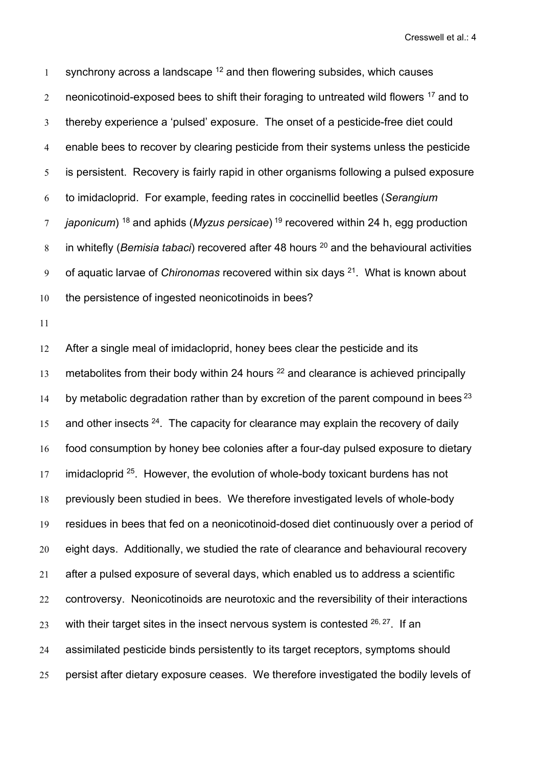1 synchrony across a landscape  $^{12}$  and then flowering subsides, which causes  $\,2$   $\,$  neonicotinoid-exposed bees to shift their foraging to untreated wild flowers  $^{17}$  and to thereby experience a 'pulsed' exposure. The onset of a pesticide-free diet could enable bees to recover by clearing pesticide from their systems unless the pesticide is persistent. Recovery is fairly rapid in other organisms following a pulsed exposure to imidacloprid. For example, feeding rates in coccinellid beetles (*Serangium f japonicum*) <sup>18</sup> and aphids (*Myzus persicae*) <sup>19</sup> recovered within 24 h, egg production in whitefly (*Bemisia tabaci*) recovered after 48 hours <sup>20</sup> and the behavioural activities <sup>9</sup> of aquatic larvae of *Chironomas* recovered within six days <sup>21</sup>. What is known about the persistence of ingested neonicotinoids in bees?

 After a single meal of imidacloprid, honey bees clear the pesticide and its 13 metabolites from their body within 24 hours  $^{22}$  and clearance is achieved principally 14 by metabolic degradation rather than by excretion of the parent compound in bees  $^{23}$  and other insects  $24$ . The capacity for clearance may explain the recovery of daily food consumption by honey bee colonies after a four-day pulsed exposure to dietary 17 imidacloprid <sup>25</sup>. However, the evolution of whole-body toxicant burdens has not previously been studied in bees. We therefore investigated levels of whole-body residues in bees that fed on a neonicotinoid-dosed diet continuously over a period of eight days. Additionally, we studied the rate of clearance and behavioural recovery after a pulsed exposure of several days, which enabled us to address a scientific 22 controversy. Neonicotinoids are neurotoxic and the reversibility of their interactions  $\, 23\quad$  with their target sites in the insect nervous system is contested  $^{26,\, 27}.$  If an  $\,$  assimilated pesticide binds persistently to its target receptors, symptoms should persist after dietary exposure ceases. We therefore investigated the bodily levels of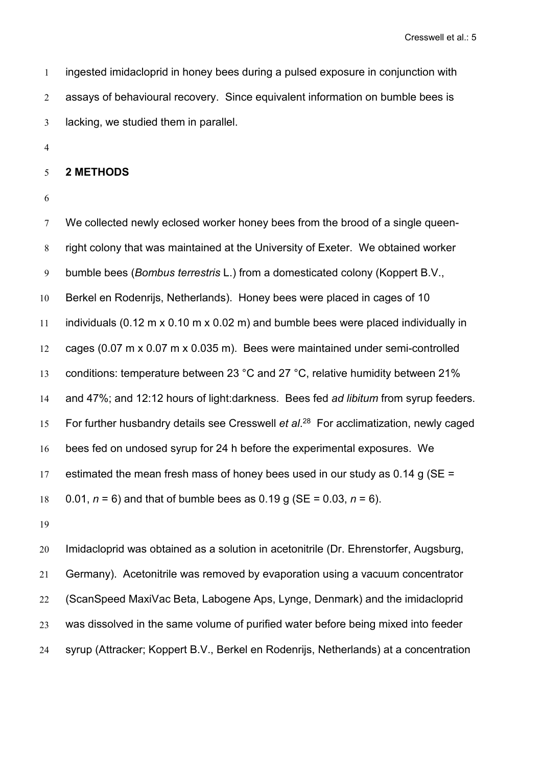ingested imidacloprid in honey bees during a pulsed exposure in conjunction with assays of behavioural recovery. Since equivalent information on bumble bees is lacking, we studied them in parallel.

#### **2 METHODS**

7 We collected newly eclosed worker honey bees from the brood of a single queen- right colony that was maintained at the University of Exeter. We obtained worker bumble bees (*Bombus terrestris* L.) from a domesticated colony (Koppert B.V., Berkel en Rodenrijs, Netherlands). Honey bees were placed in cages of 10 individuals (0.12 m x 0.10 m x 0.02 m) and bumble bees were placed individually in cages (0.07 m x 0.07 m x 0.035 m). Bees were maintained under semi-controlled conditions: temperature between 23 °C and 27 °C, relative humidity between 21% and 47%; and 12:12 hours of light:darkness. Bees fed *ad libitum* from syrup feeders. 15 For further husbandry details see Cresswell *et al*.<sup>28</sup> For acclimatization, newly caged bees fed on undosed syrup for 24 h before the experimental exposures. We 17 estimated the mean fresh mass of honey bees used in our study as 0.14 g ( $SE =$ 0.01, *n* = 6) and that of bumble bees as 0.19 g (SE = 0.03,*n* = 6).

 Imidacloprid was obtained as a solution in acetonitrile (Dr. Ehrenstorfer, Augsburg, Germany). Acetonitrile was removed by evaporation using a vacuum concentrator (ScanSpeed MaxiVac Beta, Labogene Aps, Lynge, Denmark) and the imidacloprid was dissolved in the same volume of purified water before being mixed into feeder syrup (Attracker; Koppert B.V., Berkel en Rodenrijs, Netherlands) at a concentration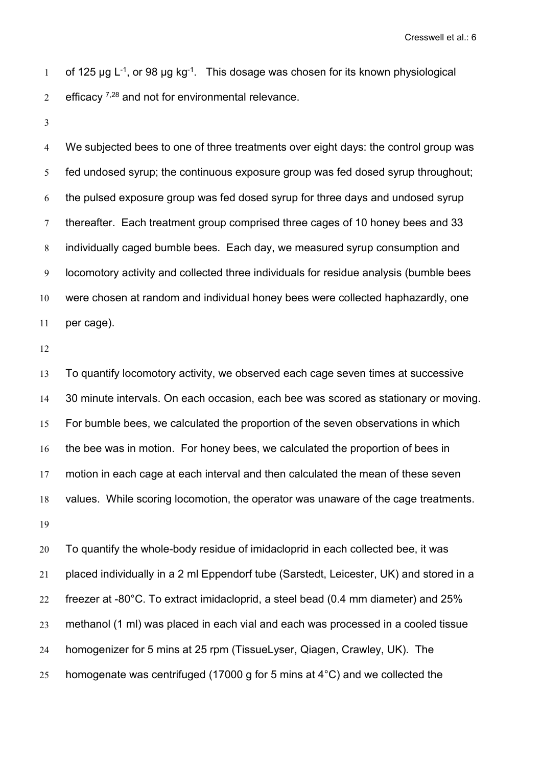of 125  $\mu$ g L $^{-1}$ , or 98  $\mu$ g kg $^{-1}$ . This dosage was chosen for its known physiological  $\rm 2-$  efficacy  $\rm ^{7,28}$  and not for environmental relevance.

 We subjected bees to one of three treatments over eight days: the control group was fed undosed syrup; the continuous exposure group was fed dosed syrup throughout; the pulsed exposure group was fed dosed syrup for three days and undosed syrup 7 thereafter. Each treatment group comprised three cages of 10 honey bees and 33 individually caged bumble bees. Each day, we measured syrup consumption and locomotory activity and collected three individuals for residue analysis (bumble bees were chosen at random and individual honey bees were collected haphazardly, one per cage).

 To quantify locomotory activity, we observed each cage seven times at successive 30 minute intervals. On each occasion, each bee was scored as stationary or moving. For bumble bees, we calculated the proportion of the seven observations in which the bee was in motion. For honey bees, we calculated the proportion of bees in motion in each cage at each interval and then calculated the mean of these seven values. While scoring locomotion, the operator was unaware of the cage treatments.

 To quantify the whole-body residue of imidacloprid in each collected bee, it was placed individually in a 2 ml Eppendorf tube (Sarstedt, Leicester, UK) and stored in a freezer at -80°C. To extract imidacloprid, a steel bead (0.4 mm diameter) and 25% methanol (1 ml) was placed in each vial and each was processed in a cooled tissue homogenizer for 5 mins at 25 rpm (TissueLyser, Qiagen, Crawley, UK). The 25 homogenate was centrifuged (17000 g for 5 mins at  $4^{\circ}$ C) and we collected the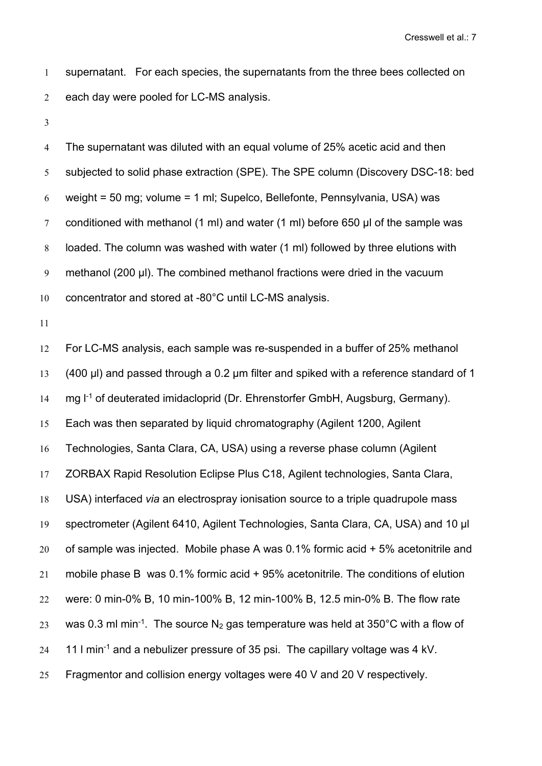supernatant. For each species, the supernatants from the three bees collected on each day were pooled for LC-MS analysis.

 The supernatant was diluted with an equal volume of 25% acetic acid and then subjected to solid phase extraction (SPE). The SPE column (Discovery DSC-18: bed 6 weight = 50 mg; volume = 1 ml; Supelco, Bellefonte, Pennsylvania, USA) was conditioned with methanol (1 ml) and water (1 ml) before 650 μl of the sample was loaded. The column was washed with water (1 ml) followed by three elutions with methanol (200 µl). The combined methanol fractions were dried in the vacuum concentrator and stored at -80°C until LC-MS analysis.

 For LC-MS analysis, each sample was re-suspended in a buffer of 25% methanol (400 µl) and passed through a 0.2 µm filter and spiked with a reference standard of 1 14 mg l<sup>-1</sup> of deuterated imidacloprid (Dr. Ehrenstorfer GmbH, Augsburg, Germany). Each was then separated by liquid chromatography (Agilent 1200, Agilent Technologies, Santa Clara, CA, USA) using a reverse phase column (Agilent ZORBAX Rapid Resolution Eclipse Plus C18, Agilent technologies, Santa Clara, USA) interfaced *via* an electrospray ionisation source to a triple quadrupole mass spectrometer (Agilent 6410, Agilent Technologies, Santa Clara, CA, USA) and 10 μl of sample was injected. Mobile phase A was 0.1% formic acid + 5% acetonitrile and mobile phase B was 0.1% formic acid + 95% acetonitrile. The conditions of elution were: 0 min-0% B, 10 min-100% B, 12 min-100% B, 12.5 min-0% B. The flow rate  $\, 23\quad$  was 0.3 ml min $\, 1.$  The source N $_2$  gas temperature was held at 350°C with a flow of 24 11 I min<sup>-1</sup> and a nebulizer pressure of 35 psi. The capillary voltage was 4 kV. Fragmentor and collision energy voltages were 40 V and 20 V respectively.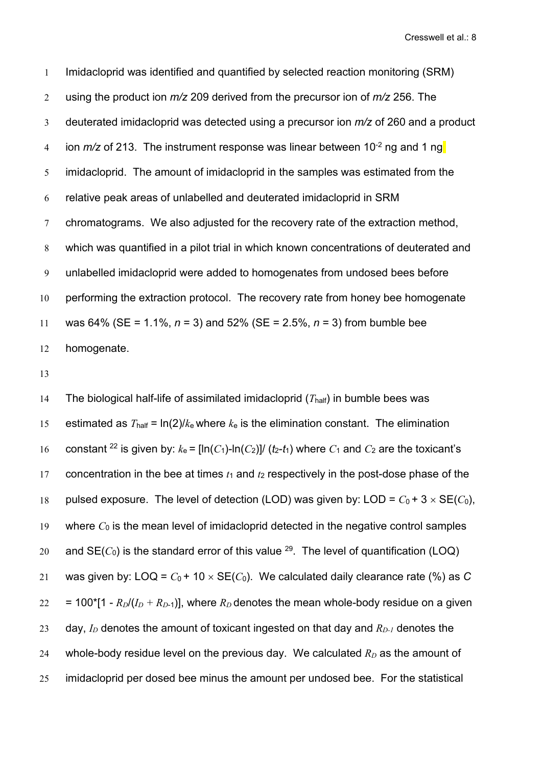Imidacloprid was identified and quantified by selected reaction monitoring (SRM) using the product ion *m/z* 209 derived from the precursor ion of *m/z* 256. The deuterated imidacloprid was detected using a precursor ion *m/z* of 260 and a product 4 ion *m/z* of 213. The instrument response was linear between 10<sup>-2</sup> ng and 1 ng<mark>l</mark> imidacloprid. The amount of imidacloprid in the samples was estimated from the relative peak areas of unlabelled and deuterated imidacloprid in SRM chromatograms. We also adjusted for the recovery rate of the extraction method, which was quantified in a pilot trial in which known concentrations of deuterated and unlabelled imidacloprid were added to homogenates from undosed bees before performing the extraction protocol. The recovery rate from honey bee homogenate was 64% (SE = 1.1%, *n* = 3) and 52% (SE = 2.5%, *n* = 3) from bumble bee homogenate.

13

14 The biological half-life of assimilated imidacloprid  $(T_{\text{half}})$  in bumble bees was 15 estimated as  $T_{\text{half}} = \ln(2)/k_e$  where  $k_e$  is the elimination constant. The elimination 16 constant <sup>22</sup> is given by:  $k_e = \left[\ln(C_1) - \ln(C_2)\right] / (t_2 - t_1)$  where  $C_1$  and  $C_2$  are the toxicant's 17 concentration in the bee at times  $t_1$  and  $t_2$  respectively in the post-dose phase of the 18 pulsed exposure. The level of detection (LOD) was given by: LOD =  $C_0 + 3 \times SE(C_0)$ , 19 where *C*<sup>0</sup> is the mean level of imidacloprid detected in the negative control samples  $20\quad$  and  $\mathsf{SE}(C_0)$  is the standard error of this value  $^{29}.$  The level of quantification (LOQ) 21 was given by:  $\text{LOQ} = C_0 + 10 \times \text{SE}(C_0)$ . We calculated daily clearance rate (%) as C  $22 = 100$ <sup>\*</sup>[1 -  $R_D/(I_D + R_{D-1})$ ], where  $R_D$  denotes the mean whole-body residue on a given 23 day, *I<sup>D</sup>* denotes the amount of toxicant ingested on that day and *RD-1* denotes the 24 whole-body residue level on the previous day. We calculated  $R_D$  as the amount of 25 imidacloprid per dosed bee minus the amount per undosed bee. For the statistical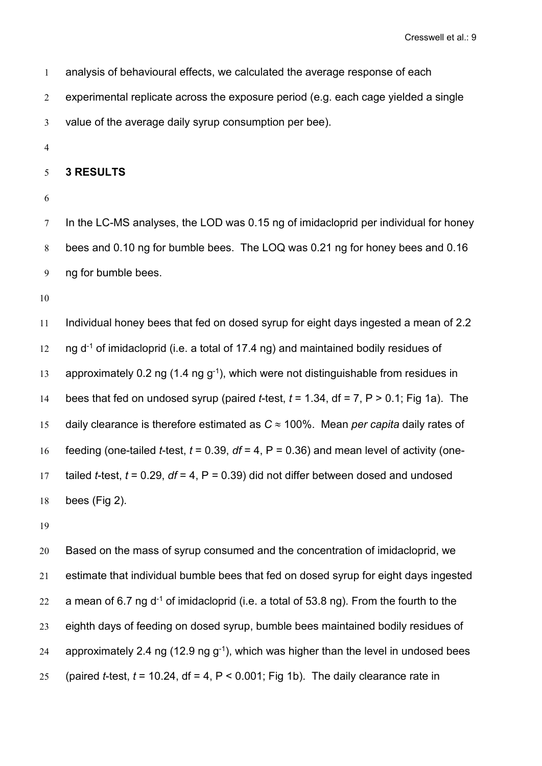| $\mathbf{1}$   | analysis of behavioural effects, we calculated the average response of each        |
|----------------|------------------------------------------------------------------------------------|
| 2              | experimental replicate across the exposure period (e.g. each cage yielded a single |
| 3              | value of the average daily syrup consumption per bee).                             |
| $\overline{4}$ |                                                                                    |
| 5 <sup>5</sup> | <b>3 RESULTS</b>                                                                   |

7 In the LC-MS analyses, the LOD was 0.15 ng of imidacloprid per individual for honey bees and 0.10 ng for bumble bees. The LOQ was 0.21 ng for honey bees and 0.16 ng for bumble bees.

 Individual honey bees that fed on dosed syrup for eight days ingested a mean of 2.2  $\mod{10}$  ng d<sup>-1</sup> of imidacloprid (i.e. a total of 17.4 ng) and maintained bodily residues of 13 approximately 0.2 ng (1.4 ng g<sup>-1</sup>), which were not distinguishable from residues in bees that fed on undosed syrup (paired *t*-test, *t* = 1.34, df = 7, P > 0.1; Fig 1a). The 15 daily clearance is therefore estimated as  $C \approx 100\%$ . Mean *per capita* daily rates of feeding (one-tailed *t*-test, *t* = 0.39, *df* = 4, P = 0.36) and mean level of activity (one- 17 tailed *t*-test,  $t = 0.29$ ,  $df = 4$ ,  $P = 0.39$  did not differ between dosed and undosed bees (Fig 2).

 Based on the mass of syrup consumed and the concentration of imidacloprid, we estimate that individual bumble bees that fed on dosed syrup for eight days ingested  $\, 22$   $\,$   $\,$  a mean of 6.7 ng d $\, 1$  of imidacloprid (i.e. a total of 53.8 ng). From the fourth to the eighth days of feeding on dosed syrup, bumble bees maintained bodily residues of  $\, 24$   $\,$  approximately 2.4 ng (12.9 ng g $^{\text{-}1}$ ), which was higher than the level in undosed bees 25 (paired *t*-test,  $t = 10.24$ , df = 4, P < 0.001; Fig 1b). The daily clearance rate in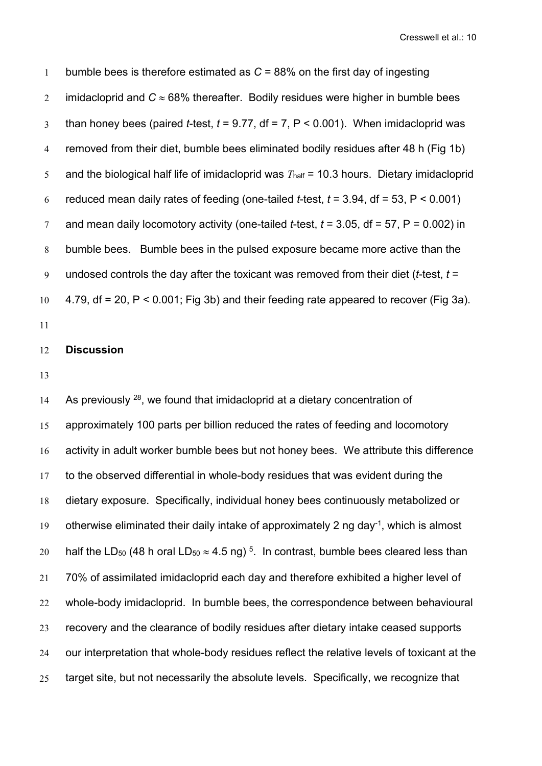bumble bees is therefore estimated as *C* = 88% on the first day of ingesting 2 imidacloprid and  $C \approx 68\%$  thereafter. Bodily residues were higher in bumble bees than honey bees (paired *t*-test, *t* = 9.77, df = 7, P < 0.001). When imidacloprid was removed from their diet, bumble bees eliminated bodily residues after 48 h (Fig 1b) 5 and the biological half life of imidacloprid was  $T_{\text{half}} = 10.3$  hours. Dietary imidacloprid 6 reduced mean daily rates of feeding (one-tailed  $t$ -test,  $t = 3.94$ , df = 53, P < 0.001) and mean daily locomotory activity (one-tailed *t*-test, *t* = 3.05, df = 57, P = 0.002) in bumble bees. Bumble bees in the pulsed exposure became more active than the undosed controls the day after the toxicant was removed from their diet (*t*-test, *t* = 4.79, df = 20, P < 0.001; Fig 3b) and their feeding rate appeared to recover (Fig 3a).

# **Discussion**

14 As previously  $^{28}$ , we found that imidacloprid at a dietary concentration of 15 approximately 100 parts per billion reduced the rates of feeding and locomotory 16 activity in adult worker bumble bees but not honey bees. We attribute this difference to the observed differential in whole-body residues that was evident during the dietary exposure. Specifically, individual honey bees continuously metabolized or 19 otherwise eliminated their daily intake of approximately 2 ng day<sup>-1</sup>, which is almost 20 half the LD<sub>50</sub> (48 h oral LD<sub>50</sub>  $\approx$  4.5 ng)<sup>5</sup>. In contrast, bumble bees cleared less than 70% of assimilated imidacloprid each day and therefore exhibited a higher level of whole-body imidacloprid. In bumble bees, the correspondence between behavioural recovery and the clearance of bodily residues after dietary intake ceased supports our interpretation that whole-body residues reflect the relative levels of toxicant at the target site, but not necessarily the absolute levels. Specifically, we recognize that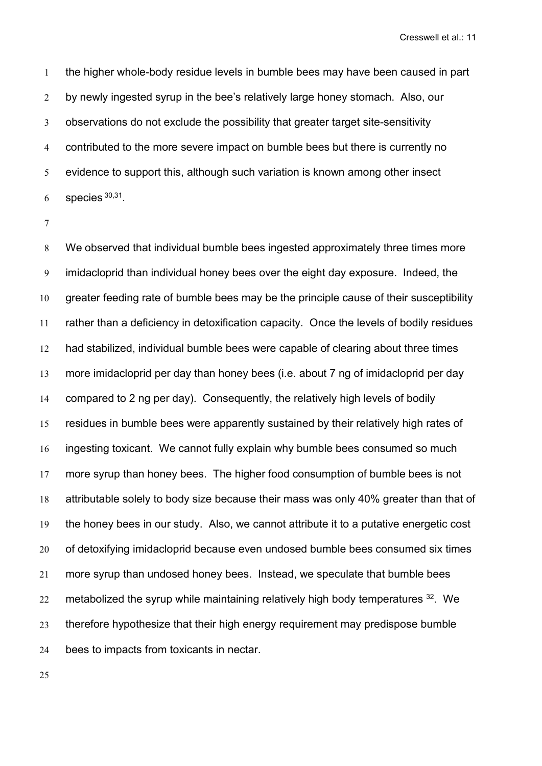the higher whole-body residue levels in bumble bees may have been caused in part 2 by newly ingested syrup in the bee's relatively large honey stomach. Also, our observations do not exclude the possibility that greater target site-sensitivity contributed to the more severe impact on bumble bees but there is currently no evidence to support this, although such variation is known among other insect species  $30,31$ .

 We observed that individual bumble bees ingested approximately three times more imidacloprid than individual honey bees over the eight day exposure. Indeed, the greater feeding rate of bumble bees may be the principle cause of their susceptibility rather than a deficiency in detoxification capacity. Once the levels of bodily residues had stabilized, individual bumble bees were capable of clearing about three times more imidacloprid per day than honey bees (i.e. about 7 ng of imidacloprid per day compared to 2 ng per day). Consequently, the relatively high levels of bodily residues in bumble bees were apparently sustained by their relatively high rates of ingesting toxicant. We cannot fully explain why bumble bees consumed so much more syrup than honey bees. The higher food consumption of bumble bees is not attributable solely to body size because their mass was only 40% greater than that of the honey bees in our study. Also, we cannot attribute it to a putative energetic cost of detoxifying imidacloprid because even undosed bumble bees consumed six times more syrup than undosed honey bees. Instead, we speculate that bumble bees  $22\quad$  metabolized the syrup while maintaining relatively high body temperatures  $^{32}\quad$  We therefore hypothesize that their high energy requirement may predispose bumble 24 bees to impacts from toxicants in nectar.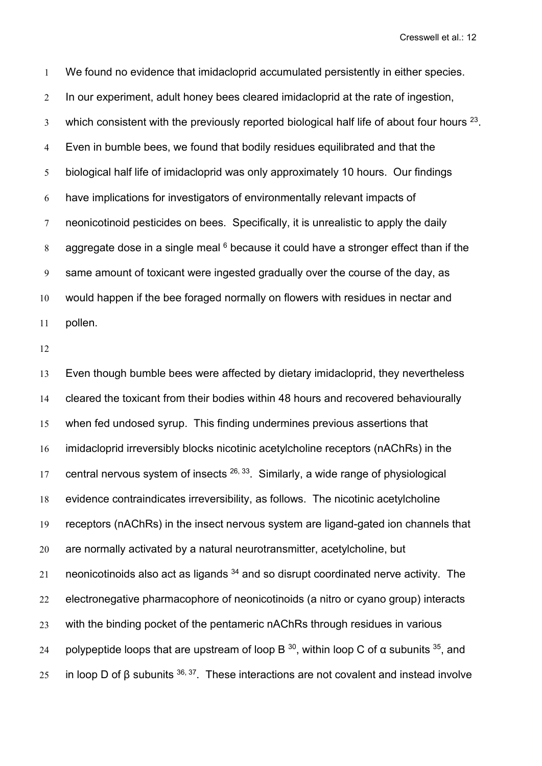We found no evidence that imidacloprid accumulated persistently in either species. In our experiment, adult honey bees cleared imidacloprid at the rate of ingestion,  $\,$  which consistent with the previously reported biological half life of about four hours  $^{23}.$  Even in bumble bees, we found that bodily residues equilibrated and that the biological half life of imidacloprid was only approximately 10 hours. Our findings have implications for investigators of environmentally relevant impacts of neonicotinoid pesticides on bees. Specifically, it is unrealistic to apply the daily 8 aggregate dose in a single meal because it could have a stronger effect than if the same amount of toxicant were ingested gradually over the course of the day, as would happen if the bee foraged normally on flowers with residues in nectar and pollen.

 Even though bumble bees were affected by dietary imidacloprid, they nevertheless cleared the toxicant from their bodies within 48 hours and recovered behaviourally when fed undosed syrup. This finding undermines previous assertions that imidacloprid irreversibly blocks nicotinic acetylcholine receptors (nAChRs) in the 17 central nervous system of insects  $26, 33$ . Similarly, a wide range of physiological evidence contraindicates irreversibility, as follows. The nicotinic acetylcholine receptors (nAChRs) in the insect nervous system are ligand-gated ion channels that are normally activated by a natural neurotransmitter, acetylcholine, but  $\, 21$   $\,$  neonicotinoids also act as ligands  $^{34}$  and so disrupt coordinated nerve activity. The electronegative pharmacophore of neonicotinoids (a nitro or cyano group) interacts with the binding pocket of the pentameric nAChRs through residues in various 24 polypeptide loops that are upstream of loop B  $^{30}$ , within loop C of α subunits  $^{35}$ , and  $\;$  in loop D of β subunits  $^{36,\,37}.$  These interactions are not covalent and instead involve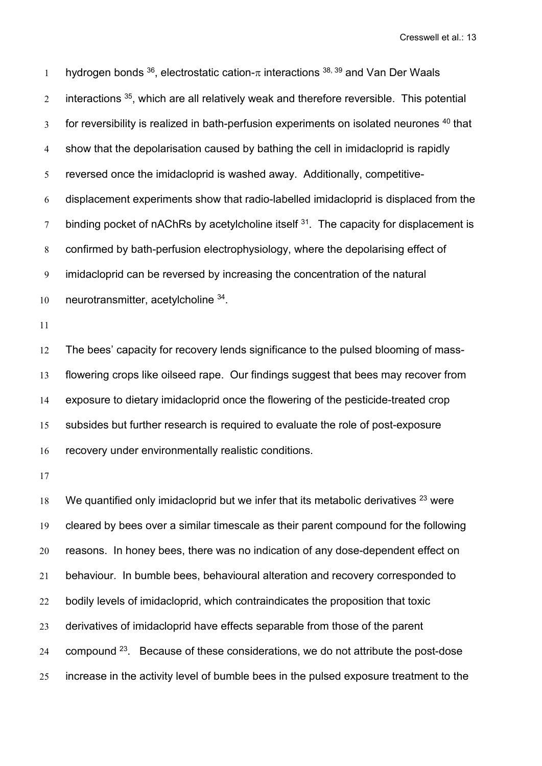1 hydrogen bonds  $^{36}$ , electrostatic cation- $\pi$  interactions  $^{38,\,39}$  and Van Der Waals  $\,2$   $\,$  interactions  $^{35}$ , which are all relatively weak and therefore reversible. This potential  $\,3$   $\,$  for reversibility is realized in bath-perfusion experiments on isolated neurones  $^{40}$  that show that the depolarisation caused by bathing the cell in imidacloprid israpidly reversed once the imidacloprid is washed away. Additionally, competitive- displacement experiments show that radio-labelled imidacloprid is displaced from the  $\sigma$  binding pocket of nAChRs by acetylcholine itself  $3<sup>1</sup>$ . The capacity for displacement is confirmed by bath-perfusion electrophysiology, where the depolarising effect of imidacloprid can be reversed by increasing the concentration of the natural 10 neurotransmitter, acetylcholine <sup>34</sup>.

 The bees' capacity for recovery lends significance to the pulsed blooming of mass- flowering crops like oilseed rape. Our findings suggest that bees may recover from exposure to dietary imidacloprid once the flowering of the pesticide-treated crop subsides but further research is required to evaluate the role of post-exposure recovery under environmentally realistic conditions.

18 We quantified only imidacloprid but we infer that its metabolic derivatives  $^{23}$  were cleared by bees over a similar timescale as their parent compound for the following reasons. In honey bees, there was no indication of any dose-dependent effect on behaviour. In bumble bees, behavioural alteration and recovery corresponded to bodily levels of imidacloprid, which contraindicates the proposition that toxic derivatives of imidacloprid have effects separable from those of the parent compound <sup>23</sup> . Because of these considerations, we do not attribute the post-dose increase in the activity level of bumble bees in the pulsed exposure treatment to the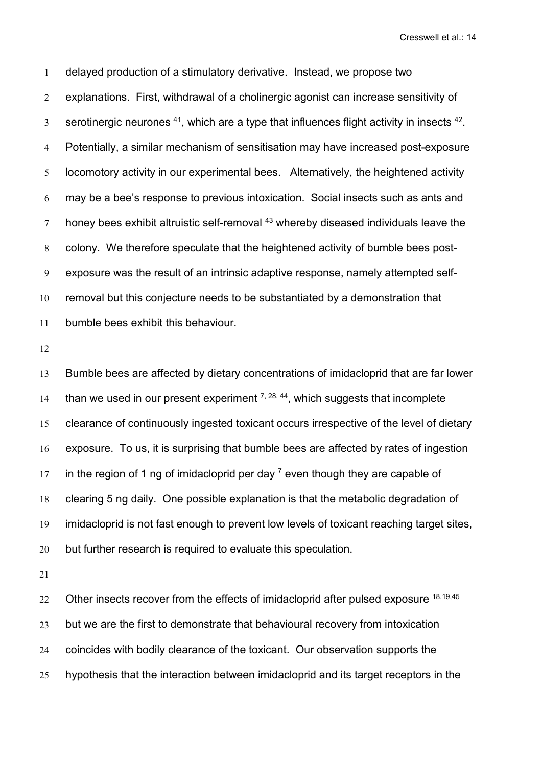delayed production of a stimulatory derivative. Instead, we propose two explanations. First, withdrawal of a cholinergic agonist can increase sensitivity of  $\,$  serotinergic neurones  $^{41}$ , which are a type that influences flight activity in insects  $^{42}$ . Potentially, a similar mechanism of sensitisation may have increased post-exposure locomotory activity in our experimental bees. Alternatively, the heightened activity may be a bee's response to previous intoxication. Social insects such as ants and  $\,7$   $\,$  honey bees exhibit altruistic self-removal  $^{43}$  whereby diseased individuals leave the colony. We therefore speculate that the heightened activity of bumble bees post- exposure was the result of an intrinsic adaptive response, namely attempted self- removal but this conjecture needs to be substantiated by a demonstration that bumble bees exhibit this behaviour.

 Bumble bees are affected by dietary concentrations of imidacloprid that are far lower 14 than we used in our present experiment  $7, 28, 44$ , which suggests that incomplete clearance of continuously ingested toxicant occurs irrespective of the level of dietary exposure. To us, it is surprising that bumble bees are affected by rates of ingestion 17 in the region of 1 ng of imidacloprid per day  $^7$  even though they are capable of clearing 5 ng daily. One possible explanation is that the metabolic degradation of imidacloprid is not fast enough to prevent low levels of toxicant reaching target sites, 20 but further research is required to evaluate this speculation.

 $22\quad$  Other insects recover from the effects of imidacloprid after pulsed exposure  $^{18,19,45}$ 23 but we are the first to demonstrate that behavioural recovery from intoxication coincides with bodily clearance of the toxicant. Our observation supports the hypothesis that the interaction between imidacloprid and its target receptors in the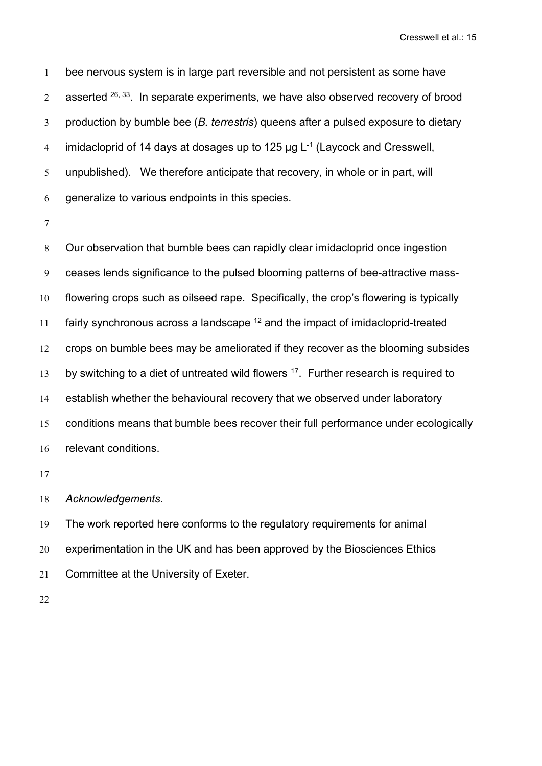bee nervous system is in large part reversible and not persistent as some have  $2^{\circ}$  asserted  $^{26,\,33}$ . In separate experiments, we have also observed recovery of brood production by bumble bee (*B. terrestris*) queens after a pulsed exposure to dietary  $\,$  imidacloprid of 14 days at dosages up to 125  $\mu$ g L $^{\text{-1}}$  (Laycock and Cresswell, unpublished). We therefore anticipate that recovery, in whole or in part, will generalize to various endpoints in this species.

 Our observation that bumble bees can rapidly clear imidacloprid once ingestion ceases lends significance to the pulsed blooming patterns of bee-attractive mass- flowering crops such as oilseed rape. Specifically, the crop's flowering is typically 11 fairly synchronous across a landscape <sup>12</sup> and the impact of imidacloprid-treated crops on bumble bees may be ameliorated if they recover as the blooming subsides 13 by switching to a diet of untreated wild flowers <sup>17</sup>. Further research is required to establish whether the behavioural recovery that we observed under laboratory conditions means that bumble bees recover their full performance under ecologically relevant conditions.

*Acknowledgements.*

 The work reported here conforms to the regulatory requirements for animal experimentation in the UK and has been approved by the Biosciences Ethics Committee at the University of Exeter.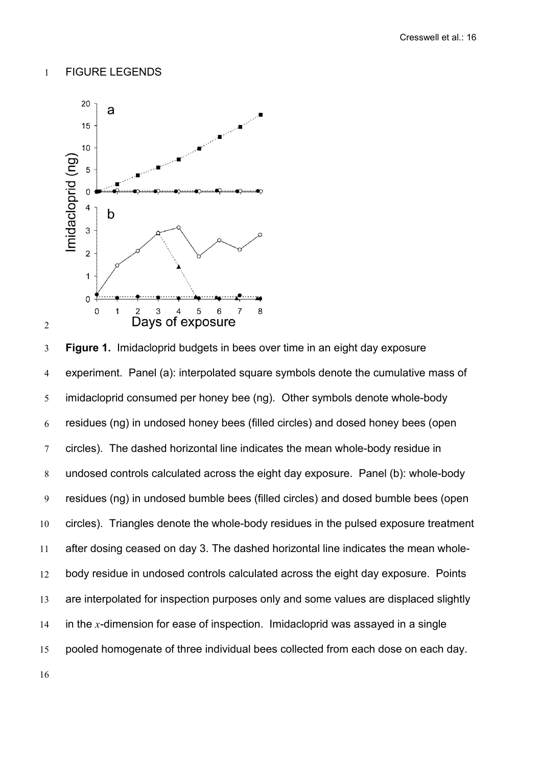# FIGURE LEGENDS



 **Figure 1.** Imidacloprid budgets in bees over time in an eight day exposure experiment. Panel (a): interpolated square symbols denote the cumulative mass of imidacloprid consumed per honey bee (ng). Other symbols denote whole-body residues (ng) in undosed honey bees (filled circles) and dosed honey bees (open circles). The dashed horizontal line indicates the mean whole-body residue in undosed controls calculated across the eight day exposure. Panel (b): whole-body residues (ng) in undosed bumble bees (filled circles) and dosed bumble bees (open circles). Triangles denote the whole-body residues in the pulsed exposure treatment after dosing ceased on day 3. The dashed horizontal line indicates the mean whole- body residue in undosed controls calculated across the eight day exposure. Points are interpolated for inspection purposes only and some values are displaced slightly in the *x*-dimension for ease of inspection. Imidacloprid was assayed in a single pooled homogenate of three individual bees collected from each dose on each day.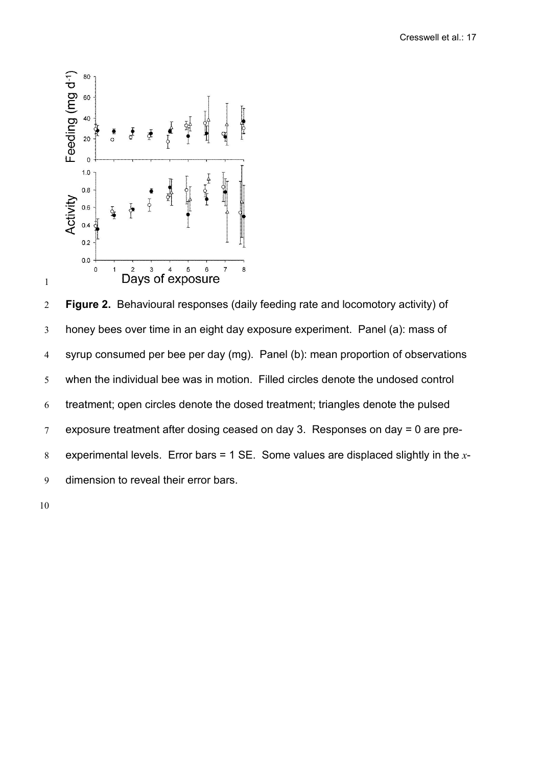

 **Figure 2.** Behavioural responses (daily feeding rate and locomotory activity) of honey bees over time in an eight day exposure experiment. Panel (a): mass of syrup consumed per bee per day (mg). Panel (b): mean proportion of observations when the individual bee was in motion. Filled circles denote the undosed control treatment; open circles denote the dosed treatment; triangles denote the pulsed exposure treatment after dosing ceased on day 3. Responses on day = 0 are pre- experimental levels. Error bars = 1 SE. Some values are displaced slightly in the *x*- dimension to reveal their error bars.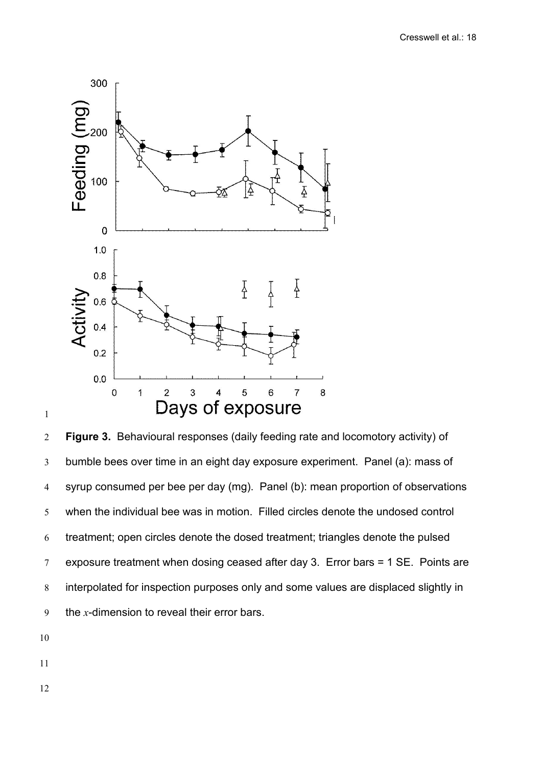

 **Figure 3.** Behavioural responses (daily feeding rate and locomotory activity) of bumble bees over time in an eight day exposure experiment. Panel (a): mass of syrup consumed per bee per day (mg). Panel (b): mean proportion of observations when the individual bee was in motion. Filled circles denote the undosed control treatment; open circles denote the dosed treatment; triangles denote the pulsed 7 exposure treatment when dosing ceased after day 3. Error bars  $= 1$  SE. Points are interpolated for inspection purposes only and some values are displaced slightly in the *x*-dimension to reveal their error bars.

- 
- 
-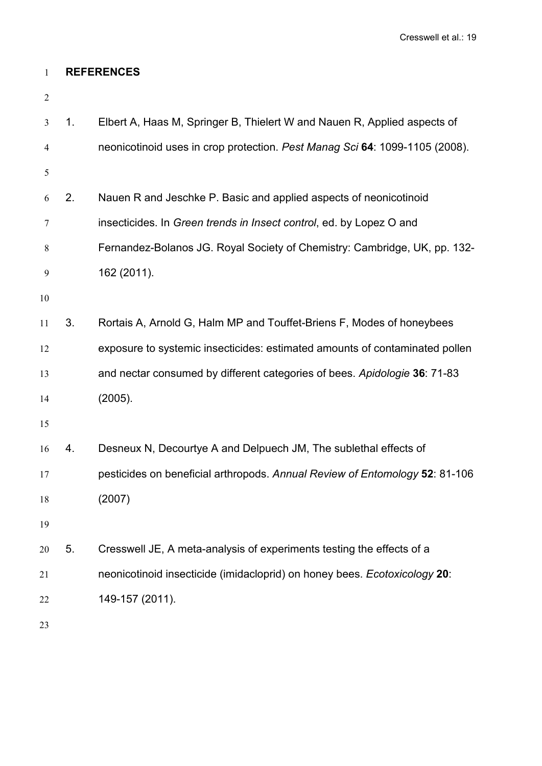# **REFERENCES**

| 3              | 1 <sub>1</sub> | Elbert A, Haas M, Springer B, Thielert W and Nauen R, Applied aspects of    |
|----------------|----------------|-----------------------------------------------------------------------------|
| $\overline{4}$ |                | neonicotinoid uses in crop protection. Pest Manag Sci 64: 1099-1105 (2008). |
| 5              |                |                                                                             |
| 6              | 2.             | Nauen R and Jeschke P. Basic and applied aspects of neonicotinoid           |
| 7              |                | insecticides. In Green trends in Insect control, ed. by Lopez O and         |
| 8              |                | Fernandez-Bolanos JG. Royal Society of Chemistry: Cambridge, UK, pp. 132-   |
| 9              |                | 162 (2011).                                                                 |
| 10             |                |                                                                             |
| 11             | 3.             | Rortais A, Arnold G, Halm MP and Touffet-Briens F, Modes of honeybees       |
| 12             |                | exposure to systemic insecticides: estimated amounts of contaminated pollen |
| 13             |                | and nectar consumed by different categories of bees. Apidologie 36: 71-83   |
| 14             |                | (2005).                                                                     |
| 15             |                |                                                                             |
| 16             | 4.             | Desneux N, Decourtye A and Delpuech JM, The sublethal effects of            |
| 17             |                | pesticides on beneficial arthropods. Annual Review of Entomology 52: 81-106 |
| 18             |                | (2007)                                                                      |
| 19             |                |                                                                             |
| 20             | 5.             | Cresswell JE, A meta-analysis of experiments testing the effects of a       |
| 21             |                | neonicotinoid insecticide (imidacloprid) on honey bees. Ecotoxicology 20:   |
| 22             |                | 149-157 (2011).                                                             |
| 23             |                |                                                                             |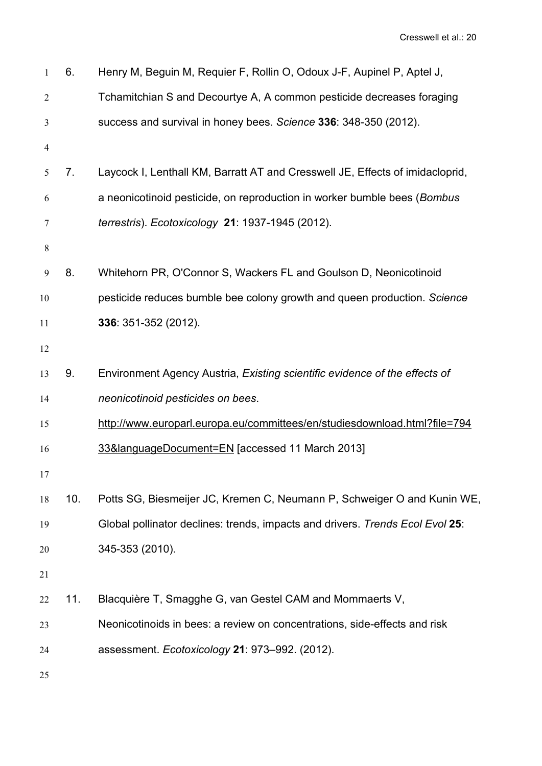| $\mathbf{1}$   | 6.             | Henry M, Beguin M, Requier F, Rollin O, Odoux J-F, Aupinel P, Aptel J,        |
|----------------|----------------|-------------------------------------------------------------------------------|
| 2              |                | Tchamitchian S and Decourtye A, A common pesticide decreases foraging         |
| 3              |                | success and survival in honey bees. Science 336: 348-350 (2012).              |
| $\overline{4}$ |                |                                                                               |
| 5              | 7 <sub>1</sub> | Laycock I, Lenthall KM, Barratt AT and Cresswell JE, Effects of imidacloprid, |
| 6              |                | a neonicotinoid pesticide, on reproduction in worker bumble bees (Bombus      |
| 7              |                | terrestris). Ecotoxicology 21: 1937-1945 (2012).                              |
| 8              |                |                                                                               |
| 9              | 8.             | Whitehorn PR, O'Connor S, Wackers FL and Goulson D, Neonicotinoid             |
| 10             |                | pesticide reduces bumble bee colony growth and queen production. Science      |
| 11             |                | 336: 351-352 (2012).                                                          |
| 12             |                |                                                                               |
| 13             | 9.             | Environment Agency Austria, Existing scientific evidence of the effects of    |
| 14             |                | neonicotinoid pesticides on bees.                                             |
| 15             |                | http://www.europarl.europa.eu/committees/en/studiesdownload.html?file=794     |
| 16             |                | 33&languageDocument=EN [accessed 11 March 2013]                               |
| 17             |                |                                                                               |
| 18             | 10.            | Potts SG, Biesmeijer JC, Kremen C, Neumann P, Schweiger O and Kunin WE,       |
| 19             |                | Global pollinator declines: trends, impacts and drivers. Trends Ecol Evol 25: |
| 20             |                | 345-353 (2010).                                                               |
| 21             |                |                                                                               |
| 22             | 11.            | Blacquière T, Smagghe G, van Gestel CAM and Mommaerts V,                      |
| 23             |                | Neonicotinoids in bees: a review on concentrations, side-effects and risk     |
| 24             |                | assessment. Ecotoxicology 21: 973-992. (2012).                                |
| 25             |                |                                                                               |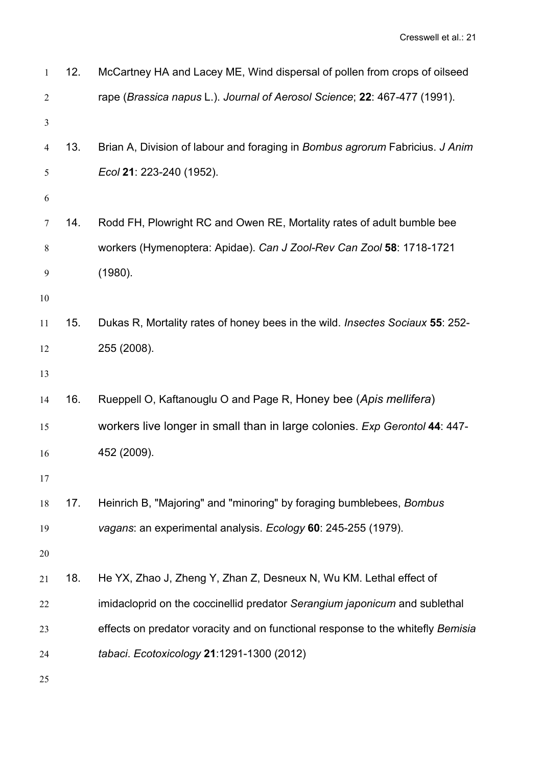| $\mathbf{1}$   | 12. | McCartney HA and Lacey ME, Wind dispersal of pollen from crops of oilseed            |
|----------------|-----|--------------------------------------------------------------------------------------|
| 2              |     | rape (Brassica napus L.). Journal of Aerosol Science; 22: 467-477 (1991).            |
| $\mathfrak{Z}$ |     |                                                                                      |
| 4              | 13. | Brian A, Division of labour and foraging in Bombus agrorum Fabricius. J Anim         |
| 5              |     | Ecol 21: 223-240 (1952).                                                             |
| 6              |     |                                                                                      |
| $\tau$         | 14. | Rodd FH, Plowright RC and Owen RE, Mortality rates of adult bumble bee               |
| 8              |     | workers (Hymenoptera: Apidae). Can J Zool-Rev Can Zool 58: 1718-1721                 |
| 9              |     | (1980).                                                                              |
| $10\,$         |     |                                                                                      |
| 11             | 15. | Dukas R, Mortality rates of honey bees in the wild. <i>Insectes Sociaux</i> 55: 252- |
| 12             |     | 255 (2008).                                                                          |
| 13             |     |                                                                                      |
| 14             | 16. | Rueppell O, Kaftanouglu O and Page R, Honey bee (Apis mellifera)                     |
| 15             |     | workers live longer in small than in large colonies. Exp Gerontol 44: 447-           |
| 16             |     | 452 (2009).                                                                          |
| 17             |     |                                                                                      |
| 18             | 17. | Heinrich B, "Majoring" and "minoring" by foraging bumblebees, Bombus                 |
| 19             |     | vagans: an experimental analysis. Ecology 60: 245-255 (1979).                        |
| 20             |     |                                                                                      |
| 21             | 18. | He YX, Zhao J, Zheng Y, Zhan Z, Desneux N, Wu KM. Lethal effect of                   |
| 22             |     | imidacloprid on the coccinellid predator Serangium japonicum and sublethal           |
| 23             |     | effects on predator voracity and on functional response to the whitefly Bemisia      |
| 24             |     | tabaci. Ecotoxicology 21:1291-1300 (2012)                                            |
| 25             |     |                                                                                      |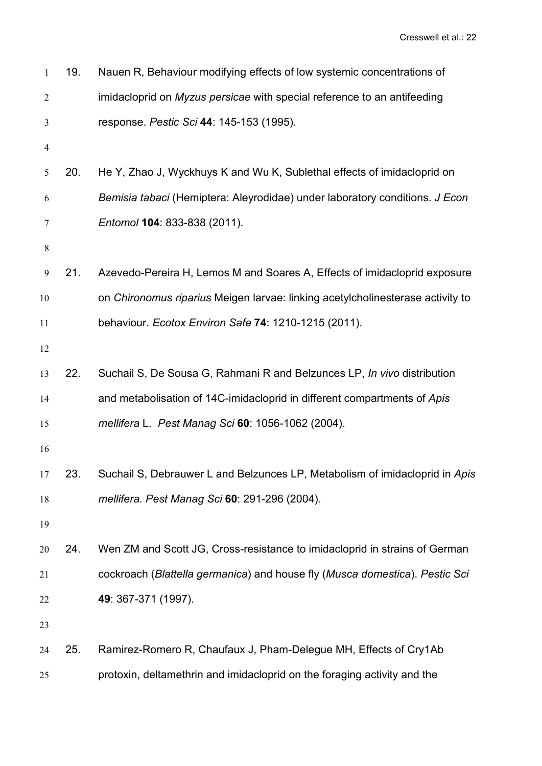| 1  | 19. | Nauen R, Behaviour modifying effects of low systemic concentrations of         |
|----|-----|--------------------------------------------------------------------------------|
| 2  |     | imidacloprid on Myzus persicae with special reference to an antifeeding        |
| 3  |     | response. Pestic Sci 44: 145-153 (1995).                                       |
| 4  |     |                                                                                |
| 5  | 20. | He Y, Zhao J, Wyckhuys K and Wu K, Sublethal effects of imidacloprid on        |
| 6  |     | Bemisia tabaci (Hemiptera: Aleyrodidae) under laboratory conditions. J Econ    |
| 7  |     | Entomol 104: 833-838 (2011).                                                   |
| 8  |     |                                                                                |
| 9  | 21. | Azevedo-Pereira H, Lemos M and Soares A, Effects of imidacloprid exposure      |
| 10 |     | on Chironomus riparius Meigen larvae: linking acetylcholinesterase activity to |
| 11 |     | behaviour. Ecotox Environ Safe 74: 1210-1215 (2011).                           |
| 12 |     |                                                                                |
| 13 | 22. | Suchail S, De Sousa G, Rahmani R and Belzunces LP, In vivo distribution        |
| 14 |     | and metabolisation of 14C-imidacloprid in different compartments of Apis       |
| 15 |     | mellifera L. Pest Manag Sci 60: 1056-1062 (2004).                              |
| 16 |     |                                                                                |
| 17 | 23. | Suchail S, Debrauwer L and Belzunces LP, Metabolism of imidacloprid in Apis    |
| 18 |     | mellifera. Pest Manag Sci 60: 291-296 (2004).                                  |
| 19 |     |                                                                                |
| 20 | 24. | Wen ZM and Scott JG, Cross-resistance to imidacloprid in strains of German     |
| 21 |     | cockroach (Blattella germanica) and house fly (Musca domestica). Pestic Sci    |
| 22 |     | 49: 367-371 (1997).                                                            |
| 23 |     |                                                                                |
| 24 | 25. | Ramirez-Romero R, Chaufaux J, Pham-Delegue MH, Effects of Cry1Ab               |
| 25 |     | protoxin, deltamethrin and imidacloprid on the foraging activity and the       |
|    |     |                                                                                |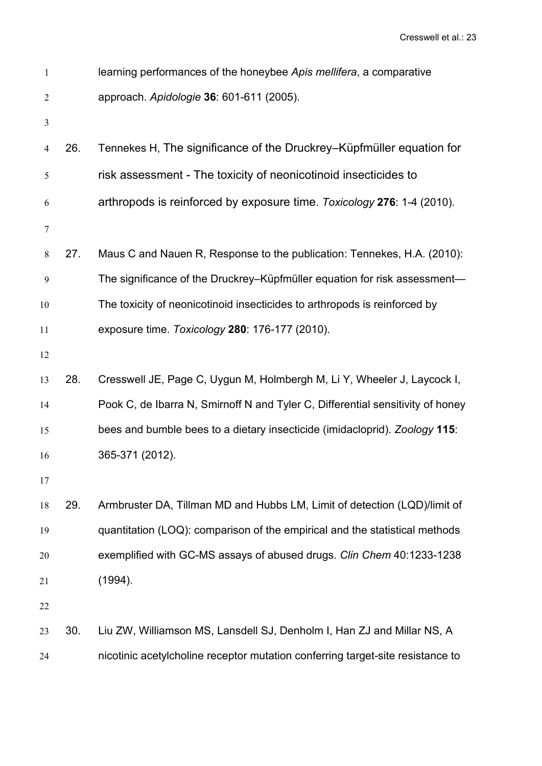| $\mathbf{1}$   |     | learning performances of the honeybee Apis mellifera, a comparative            |
|----------------|-----|--------------------------------------------------------------------------------|
| 2              |     | approach. Apidologie 36: 601-611 (2005).                                       |
| $\mathfrak{Z}$ |     |                                                                                |
| 4              | 26. | Tennekes H, The significance of the Druckrey–Küpfmüller equation for           |
| 5              |     | risk assessment - The toxicity of neonicotinoid insecticides to                |
| 6              |     | arthropods is reinforced by exposure time. Toxicology 276: 1-4 (2010).         |
| $\tau$         |     |                                                                                |
| 8              | 27. | Maus C and Nauen R, Response to the publication: Tennekes, H.A. (2010):        |
| 9              |     | The significance of the Druckrey–Küpfmüller equation for risk assessment—      |
| 10             |     | The toxicity of neonicotinoid insecticides to arthropods is reinforced by      |
| 11             |     | exposure time. Toxicology 280: 176-177 (2010).                                 |
| 12             |     |                                                                                |
| 13             | 28. | Cresswell JE, Page C, Uygun M, Holmbergh M, Li Y, Wheeler J, Laycock I,        |
| 14             |     | Pook C, de Ibarra N, Smirnoff N and Tyler C, Differential sensitivity of honey |
| 15             |     | bees and bumble bees to a dietary insecticide (imidacloprid). Zoology 115:     |
| 16             |     | 365-371 (2012).                                                                |
| 17             |     |                                                                                |
| 18             | 29. | Armbruster DA, Tillman MD and Hubbs LM, Limit of detection (LQD)/limit of      |
| 19             |     | quantitation (LOQ): comparison of the empirical and the statistical methods    |
| 20             |     | exemplified with GC-MS assays of abused drugs. Clin Chem 40:1233-1238          |
| 21             |     | (1994).                                                                        |
| 22             |     |                                                                                |
| 23             | 30. | Liu ZW, Williamson MS, Lansdell SJ, Denholm I, Han ZJ and Millar NS, A         |
| 24             |     | nicotinic acetylcholine receptor mutation conferring target-site resistance to |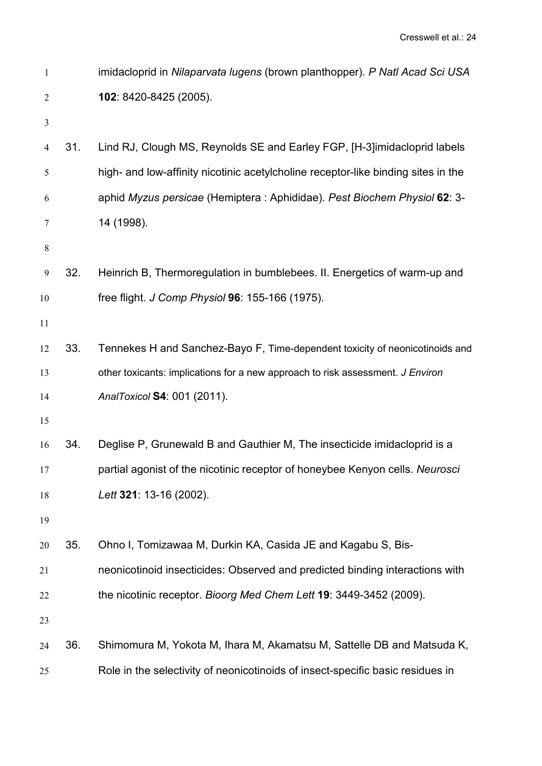| $\mathbf{1}$ |     | imidacloprid in Nilaparvata lugens (brown planthopper). P Natl Acad Sci USA       |
|--------------|-----|-----------------------------------------------------------------------------------|
| 2            |     | 102: 8420-8425 (2005).                                                            |
| 3            |     |                                                                                   |
| 4            | 31. | Lind RJ, Clough MS, Reynolds SE and Earley FGP, [H-3] imidacloprid labels         |
| 5            |     | high- and low-affinity nicotinic acetylcholine receptor-like binding sites in the |
| 6            |     | aphid Myzus persicae (Hemiptera: Aphididae). Pest Biochem Physiol 62: 3-          |
| 7            |     | 14 (1998).                                                                        |
| 8            |     |                                                                                   |
| 9            | 32. | Heinrich B, Thermoregulation in bumblebees. II. Energetics of warm-up and         |
| 10           |     | free flight. J Comp Physiol 96: 155-166 (1975).                                   |
| 11           |     |                                                                                   |
| 12           | 33. | Tennekes H and Sanchez-Bayo F, Time-dependent toxicity of neonicotinoids and      |
| 13           |     | other toxicants: implications for a new approach to risk assessment. J Environ    |
| 14           |     | AnalToxicol S4: 001 (2011).                                                       |
| 15           |     |                                                                                   |
| 16           | 34. | Deglise P, Grunewald B and Gauthier M, The insecticide imidacloprid is a          |
| 17           |     | partial agonist of the nicotinic receptor of honeybee Kenyon cells. Neurosci      |
| 18           |     | Lett 321: 13-16 (2002).                                                           |
| 19           |     |                                                                                   |
| 20           | 35. | Ohno I, Tomizawaa M, Durkin KA, Casida JE and Kagabu S, Bis-                      |
| 21           |     | neonicotinoid insecticides: Observed and predicted binding interactions with      |
| 22           |     | the nicotinic receptor. Bioorg Med Chem Lett 19: 3449-3452 (2009).                |
| 23           |     |                                                                                   |
| 24           | 36. | Shimomura M, Yokota M, Ihara M, Akamatsu M, Sattelle DB and Matsuda K,            |
| 25           |     | Role in the selectivity of neonicotinoids of insect-specific basic residues in    |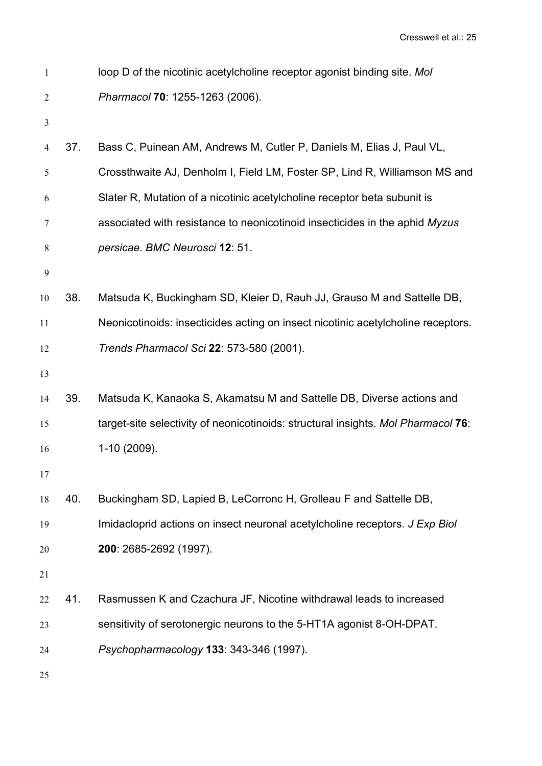| $\mathbf{1}$ |     | loop D of the nicotinic acetylcholine receptor agonist binding site. Mol          |
|--------------|-----|-----------------------------------------------------------------------------------|
| 2            |     | Pharmacol 70: 1255-1263 (2006).                                                   |
| 3            |     |                                                                                   |
| 4            | 37. | Bass C, Puinean AM, Andrews M, Cutler P, Daniels M, Elias J, Paul VL,             |
| 5            |     | Crossthwaite AJ, Denholm I, Field LM, Foster SP, Lind R, Williamson MS and        |
| 6            |     | Slater R, Mutation of a nicotinic acetylcholine receptor beta subunit is          |
| 7            |     | associated with resistance to neonicotinoid insecticides in the aphid Myzus       |
| 8            |     | persicae. BMC Neurosci 12: 51.                                                    |
| 9            |     |                                                                                   |
| 10           | 38. | Matsuda K, Buckingham SD, Kleier D, Rauh JJ, Grauso M and Sattelle DB,            |
| 11           |     | Neonicotinoids: insecticides acting on insect nicotinic acetylcholine receptors.  |
| 12           |     | Trends Pharmacol Sci 22: 573-580 (2001).                                          |
| 13           |     |                                                                                   |
| 14           | 39. | Matsuda K, Kanaoka S, Akamatsu M and Sattelle DB, Diverse actions and             |
| 15           |     | target-site selectivity of neonicotinoids: structural insights. Mol Pharmacol 76: |
| 16           |     | 1-10 (2009).                                                                      |
| 17           |     |                                                                                   |
| 18           | 40. | Buckingham SD, Lapied B, LeCorronc H, Grolleau F and Sattelle DB,                 |
| 19           |     | Imidacloprid actions on insect neuronal acetylcholine receptors. J Exp Biol       |
| 20           |     | 200: 2685-2692 (1997).                                                            |
| 21           |     |                                                                                   |
| 22           | 41. | Rasmussen K and Czachura JF, Nicotine withdrawal leads to increased               |
| 23           |     | sensitivity of serotonergic neurons to the 5-HT1A agonist 8-OH-DPAT.              |
| 24           |     | Psychopharmacology 133: 343-346 (1997).                                           |
| 25           |     |                                                                                   |